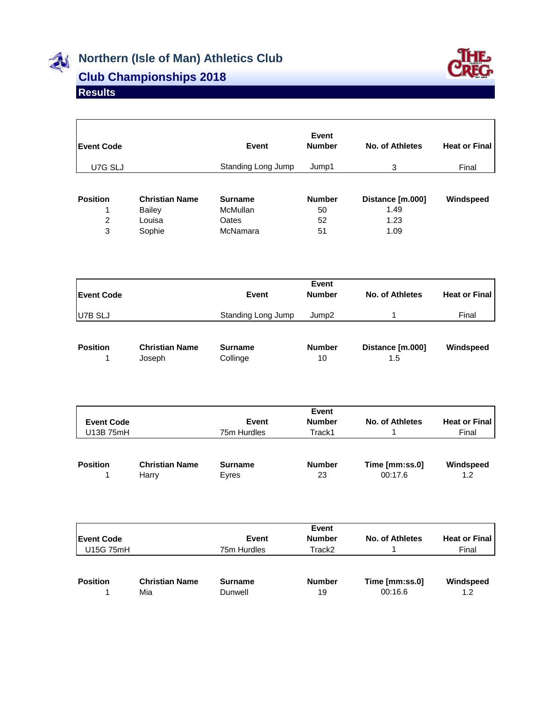

## **Northern (Isle of Man) Athletics Club**



## **Club Championships 2018**

## **Results**

| <b>IEvent Code</b> |                       | Event              | Event<br><b>Number</b> | No. of Athletes  | <b>Heat or Final</b> |
|--------------------|-----------------------|--------------------|------------------------|------------------|----------------------|
| U7G SLJ            |                       | Standing Long Jump | Jump1                  | 3                | Final                |
|                    |                       |                    |                        |                  |                      |
| <b>Position</b>    | <b>Christian Name</b> | <b>Surname</b>     | <b>Number</b>          | Distance [m.000] | Windspeed            |
|                    | <b>Bailey</b>         | <b>McMullan</b>    | 50                     | 1.49             |                      |
| 2                  | Louisa                | Oates              | 52                     | 1.23             |                      |
| 3                  | Sophie                | McNamara           | 51                     | 1.09             |                      |

| <b>Event Code</b> | <b>Event</b>       | Event<br><b>Number</b> | No. of Athletes | <b>Heat or Final</b> |  |
|-------------------|--------------------|------------------------|-----------------|----------------------|--|
| U7B SLJ           | Standing Long Jump | Jump <sub>2</sub>      |                 | Final                |  |
|                   |                    | .                      | <u>.</u>        | $\mathbf{r}$         |  |

| <b>Position</b> | <b>Christian Name</b> | Surname  | <b>Number</b> | Distance Im.0001 | Windspeed |
|-----------------|-----------------------|----------|---------------|------------------|-----------|
|                 | Joseph                | Collinge | 10            |                  |           |

| <b>Event Code</b><br>U13B 75mH |                       | Event<br>75m Hurdles | Event<br><b>Number</b><br>Track1 | No. of Athletes | <b>Heat or Final</b><br>Final |
|--------------------------------|-----------------------|----------------------|----------------------------------|-----------------|-------------------------------|
| <b>Position</b>                | <b>Christian Name</b> | <b>Surname</b>       | <b>Number</b>                    | Time [mm:ss.0]  | Windspeed                     |
|                                | Harry                 | Eyres                | 23                               | 00:17.6         | 1.2                           |

| <b>Event Code</b><br>U15G 75mH |                       | Event<br>75m Hurdles | Event<br><b>Number</b><br>Track2 | No. of Athletes | <b>Heat or Final</b><br>Final |
|--------------------------------|-----------------------|----------------------|----------------------------------|-----------------|-------------------------------|
| <b>Position</b>                | <b>Christian Name</b> | <b>Surname</b>       | <b>Number</b>                    | Time [mm:ss.0]  | Windspeed                     |
|                                | Mia                   | Dunwell              | 19                               | 00:16.6         | 1.2                           |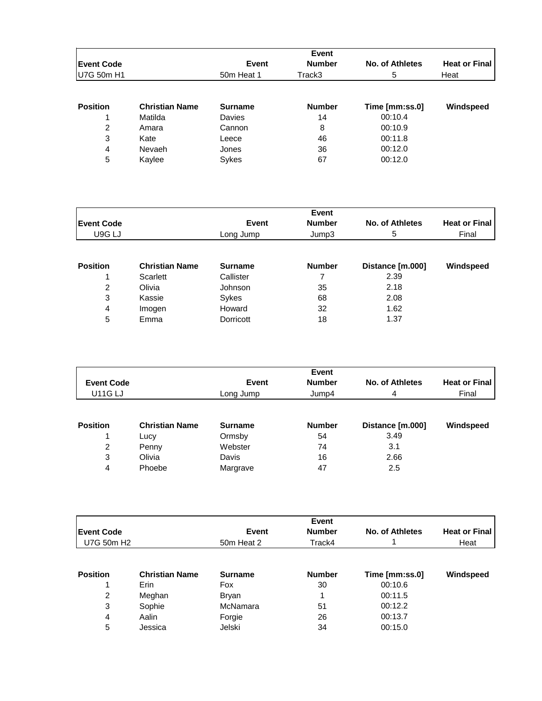|                   |                       |                | <b>Event</b>  |                 |                      |
|-------------------|-----------------------|----------------|---------------|-----------------|----------------------|
| <b>Event Code</b> |                       | <b>Event</b>   | <b>Number</b> | No. of Athletes | <b>Heat or Final</b> |
| U7G 50m H1        |                       | 50m Heat 1     | Track3        | 5               | Heat                 |
|                   |                       |                |               |                 |                      |
| <b>Position</b>   | <b>Christian Name</b> | <b>Surname</b> | <b>Number</b> | Time [mm:ss.0]  | Windspeed            |
|                   | Matilda               | Davies         | 14            | 00:10.4         |                      |
| 2                 | Amara                 | Cannon         | 8             | 00:10.9         |                      |
| 3                 | Kate                  | Leece          | 46            | 00:11.8         |                      |
| 4                 | Nevaeh                | Jones          | 36            | 00:12.0         |                      |
| 5                 | Kaylee                | Sykes          | 67            | 00:12.0         |                      |

|                    |                       |                | Event         |                  |                      |
|--------------------|-----------------------|----------------|---------------|------------------|----------------------|
| <b>IEvent Code</b> |                       | <b>Event</b>   | <b>Number</b> | No. of Athletes  | <b>Heat or Final</b> |
| U9G LJ             |                       | Long Jump      | Jump3         | 5                | Final                |
|                    |                       |                |               |                  |                      |
| <b>Position</b>    | <b>Christian Name</b> | <b>Surname</b> | <b>Number</b> | Distance [m.000] | Windspeed            |
|                    | Scarlett              | Callister      |               | 2.39             |                      |
| 2                  | Olivia                | Johnson        | 35            | 2.18             |                      |
| 3                  | Kassie                | Sykes          | 68            | 2.08             |                      |
| 4                  | Imogen                | Howard         | 32            | 1.62             |                      |
| 5                  | Emma                  | Dorricott      | 18            | 1.37             |                      |

| <b>Event Code</b><br><b>U11G LJ</b> |                       | Event<br>Long Jump | Event<br><b>Number</b><br>Jump4 | No. of Athletes<br>4     | <b>Heat or Final</b><br>Final |
|-------------------------------------|-----------------------|--------------------|---------------------------------|--------------------------|-------------------------------|
| <b>Position</b>                     | <b>Christian Name</b> | <b>Surname</b>     | <b>Number</b>                   | Distance [m.000]<br>3.49 | Windspeed                     |
| 2                                   | Lucy<br>Penny         | Ormsby<br>Webster  | 54<br>74                        | 3.1                      |                               |
| 3<br>4                              | Olivia<br>Phoebe      | Davis<br>Margrave  | 16<br>47                        | 2.66<br>2.5              |                               |

|                        |                       |                | Event         |                 |                      |
|------------------------|-----------------------|----------------|---------------|-----------------|----------------------|
| <b>Event Code</b>      |                       | Event          | <b>Number</b> | No. of Athletes | <b>Heat or Final</b> |
| U7G 50m H <sub>2</sub> |                       | 50m Heat 2     | Track4        |                 | Heat                 |
|                        |                       |                |               |                 |                      |
| <b>Position</b>        | <b>Christian Name</b> | <b>Surname</b> | <b>Number</b> | Time [mm:ss.0]  | Windspeed            |
|                        | Erin                  | Fox            | 30            | 00:10.6         |                      |
| 2                      | Meghan                | <b>Bryan</b>   |               | 00:11.5         |                      |
| 3                      | Sophie                | McNamara       | 51            | 00:12.2         |                      |
| 4                      | Aalin                 | Forgie         | 26            | 00:13.7         |                      |
| 5                      | Jessica               | Jelski         | 34            | 00:15.0         |                      |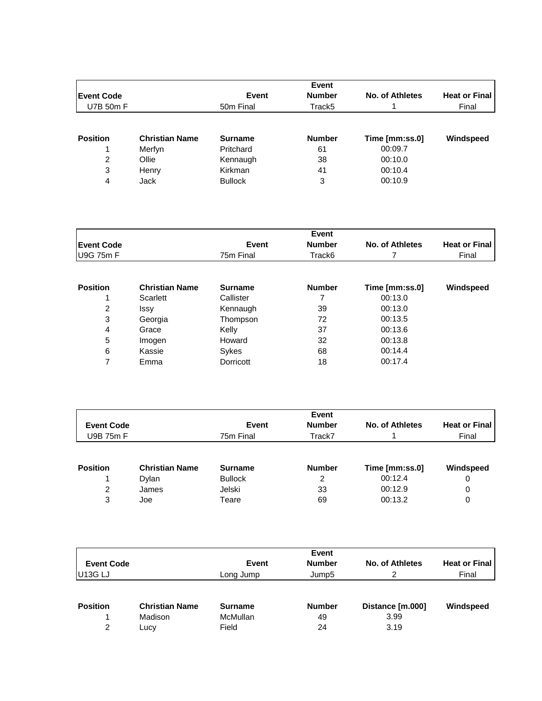|                    |                       |                       | <b>Event</b>       |                 |                      |
|--------------------|-----------------------|-----------------------|--------------------|-----------------|----------------------|
| <b>IEvent Code</b> |                       | <b>Event</b>          | <b>Number</b>      | No. of Athletes | <b>Heat or Final</b> |
| U7B 50m F          |                       | 50 <sub>m</sub> Final | Track <sub>5</sub> |                 | Final                |
|                    |                       |                       |                    |                 |                      |
| <b>Position</b>    | <b>Christian Name</b> | <b>Surname</b>        | <b>Number</b>      | Time [mm:ss.0]  | Windspeed            |
|                    | Merfyn                | Pritchard             | 61                 | 00:09.7         |                      |
| 2                  | Ollie                 | Kennaugh              | 38                 | 00:10.0         |                      |
| 3                  | Henry                 | Kirkman               | 41                 | 00:10.4         |                      |
| 4                  | Jack                  | <b>Bullock</b>        | 3                  | 00:10.9         |                      |

|                   |           | Event           |                        |                      |
|-------------------|-----------|-----------------|------------------------|----------------------|
| <b>Event Code</b> | Event     | <b>Number</b>   | <b>No. of Athletes</b> | <b>Heat or Final</b> |
| <b>U9G 75m F</b>  | 75m Final | $\tau$ rack $6$ |                        | Final                |

| <b>Position</b> | <b>Christian Name</b> | <b>Surname</b> | <b>Number</b> | Time [mm:ss.0] | Windspeed |
|-----------------|-----------------------|----------------|---------------|----------------|-----------|
|                 | Scarlett              | Callister      |               | 00:13.0        |           |
| 2               | Issy                  | Kennaugh       | 39            | 00:13.0        |           |
| 3               | Georgia               | Thompson       | 72            | 00:13.5        |           |
| 4               | Grace                 | Kelly          | 37            | 00:13.6        |           |
| 5               | Imogen                | Howard         | 32            | 00:13.8        |           |
| 6               | Kassie                | Sykes          | 68            | 00:14.4        |           |
|                 | Emma                  | Dorricott      | 18            | 00:17.4        |           |

| <b>Event Code</b><br>U9B 75m F |                       | Event<br><b>Number</b><br><b>Event</b><br>Track7<br>75m Final |               | No. of Athletes | <b>Heat or Final</b><br>Final |
|--------------------------------|-----------------------|---------------------------------------------------------------|---------------|-----------------|-------------------------------|
| <b>Position</b>                | <b>Christian Name</b> | <b>Surname</b>                                                | <b>Number</b> | Time [mm:ss.0]  | Windspeed                     |
|                                | Dylan                 | <b>Bullock</b>                                                | 2             | 00:12.4         | 0                             |
| 2                              | James                 | Jelski                                                        | 33            | 00:12.9         | 0                             |
| 3                              | Joe                   | Teare                                                         | 69            | 00:13.2         | 0                             |

| <b>Event Code</b><br>U <sub>13G LJ</sub> |                                          | Event<br><b>Number</b><br><b>Event</b><br>Jump <sub>5</sub><br>Long Jump |                           | No. of Athletes<br>2             | <b>Heat or Final</b><br>Final |
|------------------------------------------|------------------------------------------|--------------------------------------------------------------------------|---------------------------|----------------------------------|-------------------------------|
| <b>Position</b><br>2                     | <b>Christian Name</b><br>Madison<br>Lucy | <b>Surname</b><br>McMullan<br>Field                                      | <b>Number</b><br>49<br>24 | Distance [m.000]<br>3.99<br>3.19 | Windspeed                     |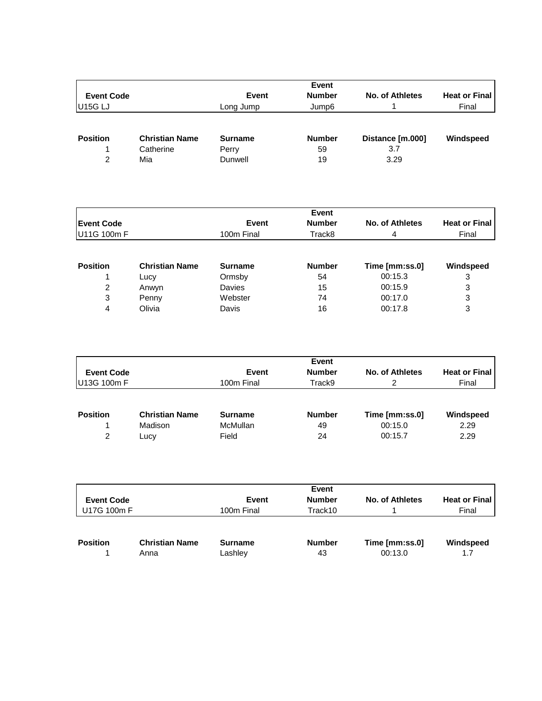| <b>Event Code</b>   |                       | <b>Event</b>   | <b>Number</b> | No. of Athletes  | <b>Heat or Final</b> |
|---------------------|-----------------------|----------------|---------------|------------------|----------------------|
| U <sub>15G LJ</sub> |                       | Long Jump      | Jump6         |                  | Final                |
| <b>Position</b>     | <b>Christian Name</b> | <b>Surname</b> | <b>Number</b> | Distance [m.000] | Windspeed            |
|                     | Catherine             | Perry          | 59            | 3.7              |                      |
| 2                   | Mia                   | Dunwell        | 19            | 3.29             |                      |

|                   |                       |                | Event         |                 |                      |
|-------------------|-----------------------|----------------|---------------|-----------------|----------------------|
| <b>Event Code</b> |                       | <b>Event</b>   | <b>Number</b> | No. of Athletes | <b>Heat or Final</b> |
| U11G 100m F       |                       | 100m Final     | Track8        | 4               | Final                |
|                   |                       |                |               |                 |                      |
| <b>Position</b>   | <b>Christian Name</b> | <b>Surname</b> | <b>Number</b> | Time [mm:ss.0]  | Windspeed            |
|                   | Lucy                  | Ormsby         | 54            | 00:15.3         | 3                    |
| 2                 | Anwyn                 | Davies         | 15            | 00:15.9         | 3                    |
| 3                 | Penny                 | Webster        | 74            | 00:17.0         | 3                    |
| 4                 | Olivia                | Davis          | 16            | 00:17.8         | 3                    |

| <b>Event Code</b><br>U13G 100m F |                       | <b>Event</b><br>100m Final | Event<br><b>Number</b><br>Track9 | No. of Athletes | <b>Heat or Final</b><br>Final |
|----------------------------------|-----------------------|----------------------------|----------------------------------|-----------------|-------------------------------|
| <b>Position</b>                  | <b>Christian Name</b> | <b>Surname</b>             | <b>Number</b>                    | Time [mm:ss.0]  | Windspeed                     |
|                                  | Madison               | McMullan                   | 49                               | 00:15.0         | 2.29                          |
| $\mathcal{P}$                    | Lucv                  | Field                      | 24                               | 00:15.7         | 2.29                          |

| <b>Event Code</b><br>U17G 100m F |                       | Event<br>100m Final | Event<br><b>Number</b><br>Track10 | No. of Athletes | <b>Heat or Final</b><br>Final |
|----------------------------------|-----------------------|---------------------|-----------------------------------|-----------------|-------------------------------|
| <b>Position</b>                  | <b>Christian Name</b> | <b>Surname</b>      | <b>Number</b>                     | Time [mm:ss.0]  | Windspeed                     |
|                                  | Anna                  | Lashley             | 43                                | 00:13.0         | 1.7                           |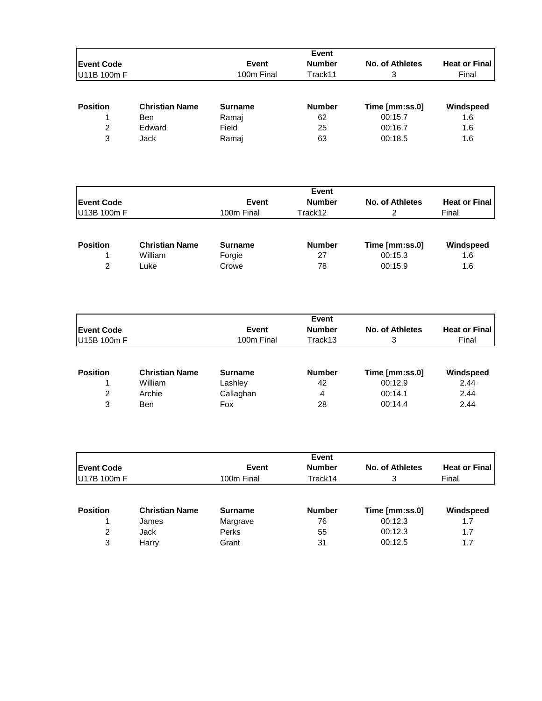|                    |                       |                | <b>Event</b>  |                 |                      |
|--------------------|-----------------------|----------------|---------------|-----------------|----------------------|
| <b>IEvent Code</b> |                       | <b>Event</b>   | <b>Number</b> | No. of Athletes | <b>Heat or Final</b> |
| U11B 100m F        |                       | 100m Final     | Track11       | 3               | Final                |
| <b>Position</b>    | <b>Christian Name</b> | <b>Surname</b> | <b>Number</b> | Time [mm:ss.0]  | Windspeed            |
|                    |                       |                |               |                 |                      |
|                    | <b>Ben</b>            | Ramaj          | 62            | 00:15.7         | 1.6                  |
| 2                  | Edward                | Field          | 25            | 00:16.7         | 1.6                  |
| 3                  | Jack                  | Ramaj          | 63            | 00:18.5         | 1.6                  |

|                   |                       |                | Event         |                 |                      |
|-------------------|-----------------------|----------------|---------------|-----------------|----------------------|
| <b>Event Code</b> |                       | Event          | <b>Number</b> | No. of Athletes | <b>Heat or Final</b> |
| U13B 100m F       |                       | 100m Final     | Track12       |                 | Final                |
| <b>Position</b>   | <b>Christian Name</b> | <b>Surname</b> | <b>Number</b> | Time [mm:ss.0]  | Windspeed            |
|                   | William               | Forgie         | 27            | 00:15.3         | 1.6                  |
| $\mathcal{P}$     | Luke                  | Crowe          | 78            | 00:15.9         | 1.6                  |

|                    |                       |                | Event         |                 |                      |
|--------------------|-----------------------|----------------|---------------|-----------------|----------------------|
| <b>IEvent Code</b> |                       | Event          | <b>Number</b> | No. of Athletes | <b>Heat or Final</b> |
| U15B 100m F        |                       | 100m Final     | Track13       | 3               | Final                |
| <b>Position</b>    | <b>Christian Name</b> | <b>Surname</b> | <b>Number</b> | Time [mm:ss.0]  | Windspeed            |
|                    | William               | Lashley        | 42            | 00:12.9         | 2.44                 |
| 2                  | Archie                | Callaghan      | 4             | 00:14.1         | 2.44                 |
| 3                  | Ben                   | Fox            | 28            | 00:14.4         | 2.44                 |

|                    |                       |                | Event         |                 |                      |
|--------------------|-----------------------|----------------|---------------|-----------------|----------------------|
| <b>IEvent Code</b> |                       | Event          | <b>Number</b> | No. of Athletes | <b>Heat or Final</b> |
| U17B 100m F        |                       | 100m Final     | Track14       | 3               | Final                |
| <b>Position</b>    | <b>Christian Name</b> | <b>Surname</b> | <b>Number</b> | Time [mm:ss.0]  | Windspeed            |
|                    | James                 | Margrave       | 76            | 00:12.3         | 1.7                  |
| 2                  | Jack                  | <b>Perks</b>   | 55            | 00:12.3         | 1.7                  |
| 3                  | Harry                 | Grant          | 31            | 00:12.5         | 1.7                  |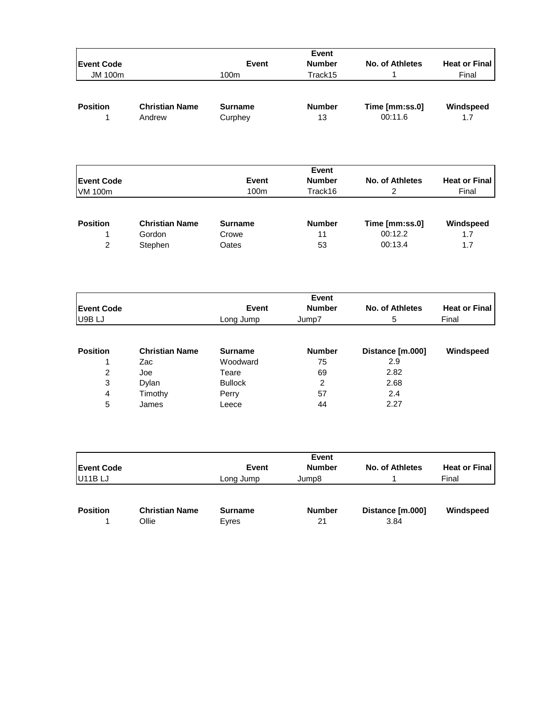| <b>IEvent Code</b> |                                 | Event                     | <b>Number</b>       | No. of Athletes           | <b>Heat or Final</b> |
|--------------------|---------------------------------|---------------------------|---------------------|---------------------------|----------------------|
| <b>JM 100m</b>     |                                 | 100m                      | Track15             |                           | Final                |
| <b>Position</b>    | <b>Christian Name</b><br>Andrew | <b>Surname</b><br>Curphey | <b>Number</b><br>13 | Time [mm:ss.0]<br>00:11.6 | Windspeed<br>1.7     |

| <b>Event Code</b> |                       | <b>Event</b>     | <b>Number</b> | No. of Athletes<br>2 | <b>Heat or Final</b><br>Final |
|-------------------|-----------------------|------------------|---------------|----------------------|-------------------------------|
| <b>VM 100m</b>    |                       | 100 <sub>m</sub> | Track16       |                      |                               |
|                   |                       |                  |               |                      |                               |
| <b>Position</b>   | <b>Christian Name</b> | <b>Surname</b>   | <b>Number</b> | Time [mm:ss.0]       | Windspeed                     |
|                   | Gordon                | Crowe            | 11            | 00:12.2              | 1.7                           |
| 2                 | Stephen               | Oates            | 53            | 00:13.4              | 1.7                           |

|                    |                       |                | Event         |                  |                      |  |  |
|--------------------|-----------------------|----------------|---------------|------------------|----------------------|--|--|
| <b>IEvent Code</b> |                       | <b>Event</b>   | <b>Number</b> | No. of Athletes  | <b>Heat or Final</b> |  |  |
| U9B LJ             |                       | Long Jump      | Jump7         | 5                | Final                |  |  |
|                    |                       |                |               |                  |                      |  |  |
| <b>Position</b>    | <b>Christian Name</b> | <b>Surname</b> | <b>Number</b> | Distance [m.000] | Windspeed            |  |  |
|                    | Zac                   | Woodward       | 75            | 2.9              |                      |  |  |
| 2                  | Joe                   | Teare          | 69            | 2.82             |                      |  |  |
| 3                  | Dylan                 | <b>Bullock</b> | 2             | 2.68             |                      |  |  |
| 4                  | Timothy               | Perry          | 57            | 2.4              |                      |  |  |
| 5                  | James                 | Leece          | 44            | 2.27             |                      |  |  |

|                     |                                |                         | Event               |                          |                               |
|---------------------|--------------------------------|-------------------------|---------------------|--------------------------|-------------------------------|
| <b>Event Code</b>   |                                | <b>Event</b>            | <b>Number</b>       | No. of Athletes          | <b>Heat or Final</b><br>Final |
| U <sub>11</sub> BLJ |                                | Long Jump               | Jump8               |                          |                               |
| <b>Position</b>     | <b>Christian Name</b><br>Ollie | <b>Surname</b><br>Eyres | <b>Number</b><br>21 | Distance [m.000]<br>3.84 | Windspeed                     |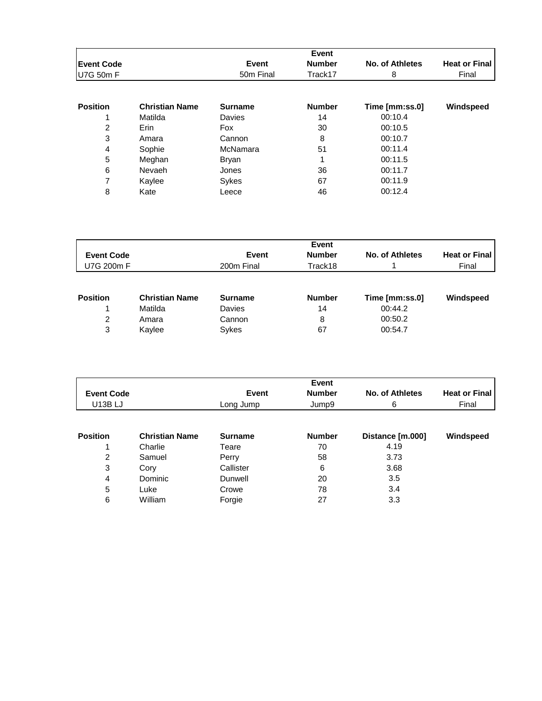|                   |                       |                       | Event         |                 |                      |
|-------------------|-----------------------|-----------------------|---------------|-----------------|----------------------|
| <b>Event Code</b> |                       | <b>Event</b>          | <b>Number</b> | No. of Athletes | <b>Heat or Final</b> |
| U7G 50m F         |                       | 50 <sub>m</sub> Final | Track17       | 8               | Final                |
| <b>Position</b>   | <b>Christian Name</b> | <b>Surname</b>        | <b>Number</b> | Time [mm:ss.0]  | Windspeed            |
|                   | Matilda               | Davies                | 14            | 00:10.4         |                      |
| 2                 | Erin                  | Fox                   | 30            | 00:10.5         |                      |
| 3                 | Amara                 | Cannon                | 8             | 00:10.7         |                      |
| 4                 | Sophie                | McNamara              | 51            | 00:11.4         |                      |
| 5                 | Meghan                | Bryan                 | 4             | 00:11.5         |                      |
| 6                 | Nevaeh                | Jones                 | 36            | 00:11.7         |                      |
| 7                 | Kaylee                | Sykes                 | 67            | 00:11.9         |                      |
| 8                 | Kate                  | Leece                 | 46            | 00:12.4         |                      |

|                   |                       | Event          |               |                 |                      |  |  |  |
|-------------------|-----------------------|----------------|---------------|-----------------|----------------------|--|--|--|
| <b>Event Code</b> |                       | <b>Event</b>   | <b>Number</b> | No. of Athletes | <b>Heat or Final</b> |  |  |  |
| U7G 200m F        |                       | 200m Final     | Track18       |                 | Final                |  |  |  |
| <b>Position</b>   | <b>Christian Name</b> | <b>Surname</b> | <b>Number</b> | Time [mm:ss.0]  | Windspeed            |  |  |  |
|                   | Matilda               | Davies         | 14            | 00:44.2         |                      |  |  |  |
| 2                 | Amara                 | Cannon         | 8             | 00:50.2         |                      |  |  |  |
| 3                 | Kaylee                | Sykes          | 67            | 00:54.7         |                      |  |  |  |

|                   |                       |                | Event         |                  |                      |
|-------------------|-----------------------|----------------|---------------|------------------|----------------------|
| <b>Event Code</b> |                       | Event          | <b>Number</b> | No. of Athletes  | <b>Heat or Final</b> |
| <b>U13B LJ</b>    |                       | Long Jump      | Jump9         | 6                | Final                |
|                   |                       |                |               |                  |                      |
| <b>Position</b>   | <b>Christian Name</b> | <b>Surname</b> | <b>Number</b> | Distance [m.000] | Windspeed            |
|                   | Charlie               | Teare          | 70            | 4.19             |                      |
| 2                 | Samuel                | Perry          | 58            | 3.73             |                      |
| 3                 | Cory                  | Callister      | 6             | 3.68             |                      |
| 4                 | Dominic               | Dunwell        | 20            | 3.5              |                      |
| 5                 | Luke                  | Crowe          | 78            | 3.4              |                      |
| 6                 | William               | Forgie         | 27            | 3.3              |                      |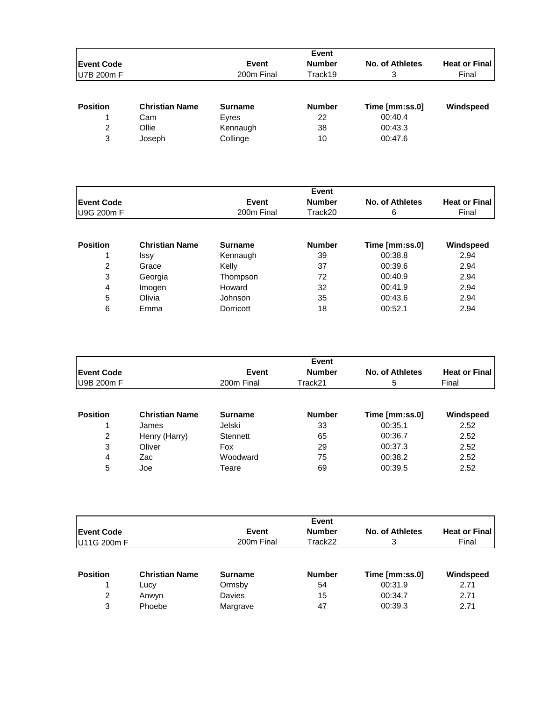|                    |                       |                | Event         |                 |                      |
|--------------------|-----------------------|----------------|---------------|-----------------|----------------------|
| <b>IEvent Code</b> |                       | <b>Event</b>   | <b>Number</b> | No. of Athletes | <b>Heat or Final</b> |
| U7B 200m F         |                       | 200m Final     | Track19       | 3               | Final                |
| <b>Position</b>    | <b>Christian Name</b> | <b>Surname</b> | <b>Number</b> | Time [mm:ss.0]  | Windspeed            |
|                    |                       |                |               |                 |                      |
|                    | Cam                   | Eyres          | 22            | 00:40.4         |                      |
| 2                  | Ollie                 | Kennaugh       | 38            | 00:43.3         |                      |
| 3                  | Joseph                | Collinge       | 10            | 00:47.6         |                      |

|                    |                       | Event          |               |                 |                      |  |  |
|--------------------|-----------------------|----------------|---------------|-----------------|----------------------|--|--|
| <b>IEvent Code</b> |                       | Event          | <b>Number</b> | No. of Athletes | <b>Heat or Final</b> |  |  |
| U9G 200m F         |                       | 200m Final     | Track20       | 6               | Final                |  |  |
|                    |                       |                |               |                 |                      |  |  |
| <b>Position</b>    | <b>Christian Name</b> | <b>Surname</b> | <b>Number</b> | Time [mm:ss.0]  | Windspeed            |  |  |
|                    | Issy                  | Kennaugh       | 39            | 00:38.8         | 2.94                 |  |  |
| 2                  | Grace                 | Kelly          | 37            | 00:39.6         | 2.94                 |  |  |
| 3                  | Georgia               | Thompson       | 72            | 00:40.9         | 2.94                 |  |  |
| 4                  | Imogen                | Howard         | 32            | 00:41.9         | 2.94                 |  |  |
| 5                  | Olivia                | Johnson        | 35            | 00:43.6         | 2.94                 |  |  |
| 6                  | Emma                  | Dorricott      | 18            | 00:52.1         | 2.94                 |  |  |

|                    |                       |                | Event         |                 |                      |
|--------------------|-----------------------|----------------|---------------|-----------------|----------------------|
| <b>IEvent Code</b> |                       | <b>Event</b>   | <b>Number</b> | No. of Athletes | <b>Heat or Final</b> |
| <b>U9B 200m F</b>  |                       | 200m Final     | Track21       | 5               | Final                |
|                    |                       |                |               |                 |                      |
| <b>Position</b>    | <b>Christian Name</b> | <b>Surname</b> | <b>Number</b> | Time [mm:ss.0]  | Windspeed            |
|                    | James                 | Jelski         | 33            | 00:35.1         | 2.52                 |
| 2                  | Henry (Harry)         | Stennett       | 65            | 00:36.7         | 2.52                 |
| 3                  | Oliver                | Fox            | 29            | 00:37.3         | 2.52                 |
| 4                  | Zac                   | Woodward       | 75            | 00:38.2         | 2.52                 |
| 5                  | Joe                   | Teare          | 69            | 00:39.5         | 2.52                 |

|                    |                       |                | Event         |                 |                      |
|--------------------|-----------------------|----------------|---------------|-----------------|----------------------|
| <b>IEvent Code</b> |                       | <b>Event</b>   | <b>Number</b> | No. of Athletes | <b>Heat or Final</b> |
| U11G 200m F        |                       | 200m Final     | Track22       | 3               | Final                |
| <b>Position</b>    | <b>Christian Name</b> | <b>Surname</b> | <b>Number</b> | Time [mm:ss.0]  | Windspeed            |
|                    | Lucy                  | Ormsby         | 54            | 00:31.9         | 2.71                 |
| 2                  | Anwyn                 | Davies         | 15            | 00:34.7         | 2.71                 |
| 3                  | Phoebe                | Margrave       | 47            | 00:39.3         | 2.71                 |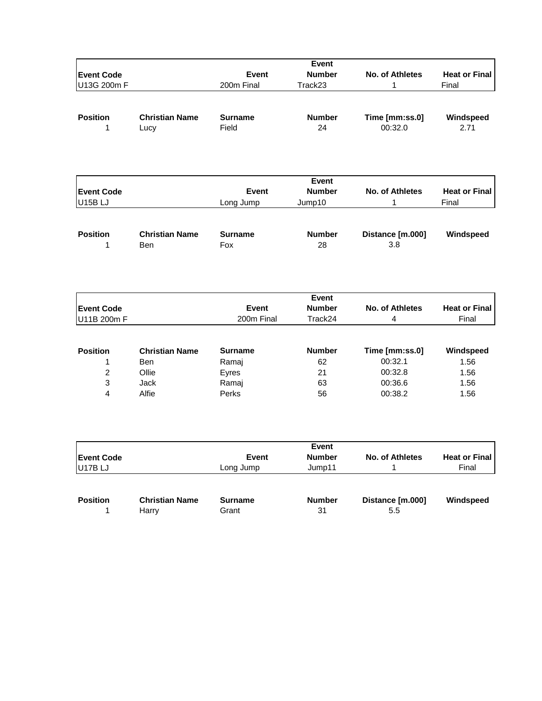|                   |                       |                | Event         |                        |                      |
|-------------------|-----------------------|----------------|---------------|------------------------|----------------------|
| <b>Event Code</b> |                       | Event          | <b>Number</b> | <b>No. of Athletes</b> | <b>Heat or Final</b> |
| U13G 200m F       |                       | 200m Final     | Track23       | 1                      | Final                |
|                   |                       |                |               |                        |                      |
| <b>Position</b>   | <b>Christian Name</b> | <b>Surname</b> | <b>Number</b> | Time [mm:ss.0]         | Windspeed            |
| 1                 | Lucy                  | Field          | 24            | 00:32.0                | 2.71                 |
|                   |                       |                |               |                        |                      |
|                   |                       |                | Event         |                        |                      |
| <b>Event Code</b> |                       | Event          | <b>Number</b> | No. of Athletes        | <b>Heat or Final</b> |
| U15BLJ            |                       | Long Jump      | Jump10        | $\mathbf 1$            | Final                |
|                   |                       |                |               |                        |                      |
| <b>Position</b>   | <b>Christian Name</b> | <b>Surname</b> | <b>Number</b> | Distance [m.000]       | Windspeed            |
| 1                 | Ben                   | Fox            | 28            | 3.8                    |                      |
|                   |                       |                |               |                        |                      |
|                   |                       |                | <b>Event</b>  |                        |                      |
| <b>Event Code</b> |                       | <b>Event</b>   | <b>Number</b> | <b>No. of Athletes</b> | <b>Heat or Final</b> |
| U11B 200m F       |                       | 200m Final     | Track24       | 4                      | Final                |
|                   |                       |                |               |                        |                      |
| <b>Position</b>   | <b>Christian Name</b> | <b>Surname</b> | <b>Number</b> | Time [mm:ss.0]         | Windspeed            |
| 1                 | <b>Ben</b>            | Ramaj          | 62            | 00:32.1                | 1.56                 |
| $\overline{c}$    | Ollie                 | Eyres          | 21            | 00:32.8                | 1.56                 |
| 3                 | <b>Jack</b>           | Ramaj          | 63            | 00:36.6                | 1.56                 |
| 4                 | Alfie                 | Perks          | 56            | 00:38.2                | 1.56                 |
|                   |                       |                | Event         |                        |                      |
| <b>Event Code</b> |                       | Event          | <b>Number</b> | No. of Athletes        | <b>Heat or Final</b> |
| U17BLJ            |                       | Long Jump      | Jump11        | 1                      | Final                |
|                   |                       |                |               |                        |                      |
| <b>Position</b>   | <b>Christian Name</b> | <b>Surname</b> | <b>Number</b> | Distance [m.000]       | Windspeed            |

1 Harry Grant 31 5.5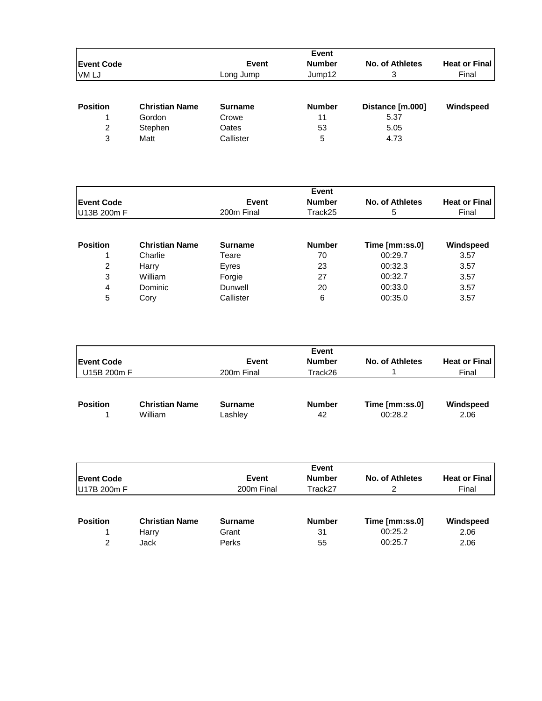| <b>Event Code</b> |                       | Event          | <b>Number</b> | No. of Athletes  | <b>Heat or Final</b> |
|-------------------|-----------------------|----------------|---------------|------------------|----------------------|
| <b>VMLJ</b>       |                       | Long Jump      | Jump12        | 3                | Final                |
|                   |                       |                |               |                  |                      |
| <b>Position</b>   | <b>Christian Name</b> | <b>Surname</b> | <b>Number</b> | Distance [m.000] | Windspeed            |
|                   | Gordon                | Crowe          | 11            | 5.37             |                      |
| 2                 | Stephen               | Oates          | 53            | 5.05             |                      |
| 3                 | Matt                  | Callister      | 5             | 4.73             |                      |

| <b>Event Code</b> |                       | Event          | <b>Number</b> | No. of Athletes | <b>Heat or Final</b> |
|-------------------|-----------------------|----------------|---------------|-----------------|----------------------|
| U13B 200m F       |                       | 200m Final     | Track25       | 5               | Final                |
|                   |                       |                |               |                 |                      |
| <b>Position</b>   | <b>Christian Name</b> | <b>Surname</b> | <b>Number</b> | Time [mm:ss.0]  | Windspeed            |
|                   | Charlie               | Teare          | 70            | 00:29.7         | 3.57                 |
| 2                 | Harry                 | Eyres          | 23            | 00:32.3         | 3.57                 |
| 3                 | William               | Forgie         | 27            | 00:32.7         | 3.57                 |
| 4                 | Dominic               | Dunwell        | 20            | 00:33.0         | 3.57                 |
| 5                 | Cory                  | Callister      | 6             | 00:35.0         | 3.57                 |

| <b>Event Code</b> |                                  | <b>Event</b>              | Event<br><b>Number</b> | No. of Athletes           | <b>Heat or Final</b> |
|-------------------|----------------------------------|---------------------------|------------------------|---------------------------|----------------------|
| U15B 200m F       |                                  | 200m Final                | Track26                |                           | Final                |
| <b>Position</b>   | <b>Christian Name</b><br>William | <b>Surname</b><br>Lashley | <b>Number</b><br>42    | Time [mm:ss.0]<br>00:28.2 | Windspeed<br>2.06    |

|                    |                       |                | Event         |                 |                      |
|--------------------|-----------------------|----------------|---------------|-----------------|----------------------|
| <b>IEvent Code</b> |                       | <b>Event</b>   | <b>Number</b> | No. of Athletes | <b>Heat or Final</b> |
| U17B 200m F        |                       | 200m Final     | Track27       | 2               | Final                |
| <b>Position</b>    | <b>Christian Name</b> | <b>Surname</b> | <b>Number</b> | Time [mm:ss.0]  | Windspeed            |
|                    | Harry                 | Grant          | 31            | 00:25.2         | 2.06                 |
| 2                  | Jack                  | Perks          | 55            | 00:25.7         | 2.06                 |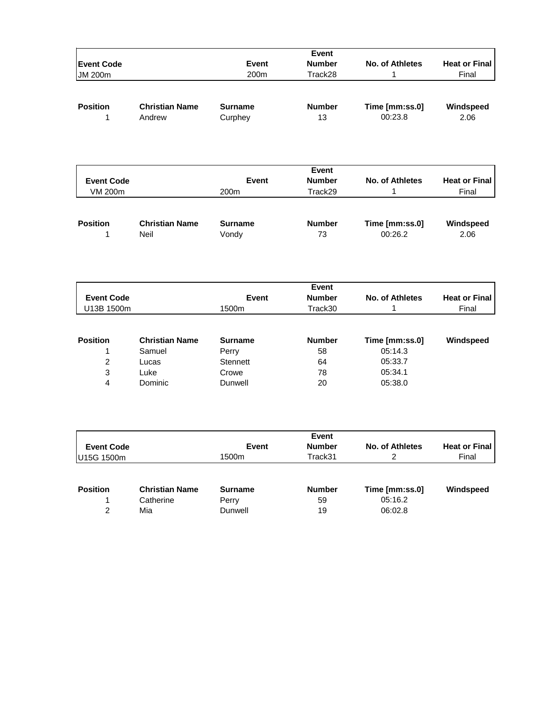| <b>Event Code</b><br><b>JM 200m</b> |                                 | Event<br>200 <sub>m</sub> | <b>Number</b><br>Track28 | No. of Athletes           | <b>Heat or Final</b><br>Final |
|-------------------------------------|---------------------------------|---------------------------|--------------------------|---------------------------|-------------------------------|
| <b>Position</b>                     | <b>Christian Name</b><br>Andrew | <b>Surname</b><br>Curphey | <b>Number</b><br>13      | Time [mm:ss.0]<br>00:23.8 | Windspeed<br>2.06             |

| <b>Event Code</b><br>VM 200m |                       | <b>Event</b><br>200 <sub>m</sub> | Event<br><b>Number</b><br>Track29 | No. of Athletes | <b>Heat or Final</b><br>Final |
|------------------------------|-----------------------|----------------------------------|-----------------------------------|-----------------|-------------------------------|
| <b>Position</b>              | <b>Christian Name</b> | <b>Surname</b>                   | <b>Number</b>                     | Time [mm:ss.0]  | Windspeed                     |
|                              | Neil                  | Vondy                            | 73                                | 00:26.2         | 2.06                          |

|                   |                       |                | Event         |                 |                      |
|-------------------|-----------------------|----------------|---------------|-----------------|----------------------|
| <b>Event Code</b> |                       | <b>Event</b>   | <b>Number</b> | No. of Athletes | <b>Heat or Final</b> |
| U13B 1500m        |                       | 1500m          | Track30       |                 | Final                |
|                   |                       |                |               |                 |                      |
| <b>Position</b>   | <b>Christian Name</b> | <b>Surname</b> | <b>Number</b> | Time [mm:ss.0]  | Windspeed            |
|                   | Samuel                | Perry          | 58            | 05:14.3         |                      |
| 2                 | Lucas                 | Stennett       | 64            | 05:33.7         |                      |
| 3                 | Luke                  | Crowe          | 78            | 05:34.1         |                      |
| 4                 | Dominic               | Dunwell        | 20            | 05:38.0         |                      |

| <b>Event Code</b><br>U15G 1500m  |                                           | <b>Event</b><br>1500m              | Event<br><b>Number</b><br>Track31 | No. of Athletes<br>2                 | <b>Heat or Final</b><br>Final |
|----------------------------------|-------------------------------------------|------------------------------------|-----------------------------------|--------------------------------------|-------------------------------|
| <b>Position</b><br>$\mathcal{P}$ | <b>Christian Name</b><br>Catherine<br>Mia | <b>Surname</b><br>Perry<br>Dunwell | <b>Number</b><br>59<br>19         | Time [mm:ss.0]<br>05:16.2<br>06:02.8 | Windspeed                     |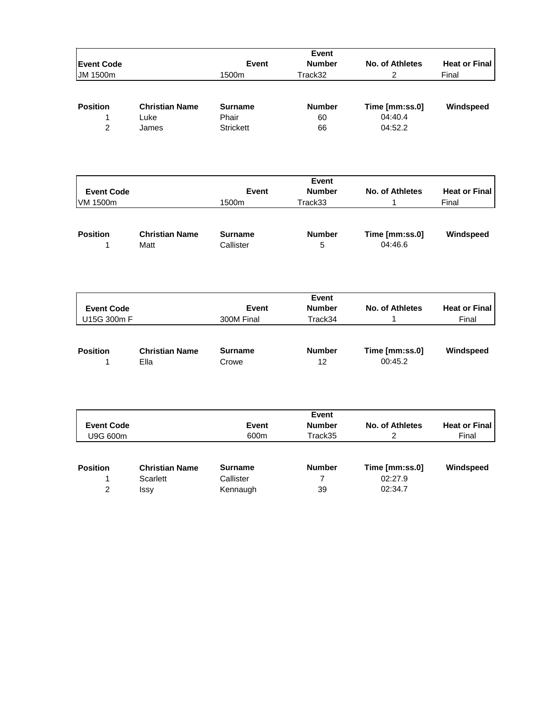|                   |                       |                  | Event          |                        |                      |
|-------------------|-----------------------|------------------|----------------|------------------------|----------------------|
| <b>Event Code</b> |                       | <b>Event</b>     | <b>Number</b>  | No. of Athletes        | <b>Heat or Final</b> |
| JM 1500m          |                       | 1500m            | Track32        | $\overline{2}$         | Final                |
|                   |                       |                  |                |                        |                      |
| <b>Position</b>   | <b>Christian Name</b> | <b>Surname</b>   | <b>Number</b>  | Time [mm:ss.0]         | Windspeed            |
| 1                 | Luke                  | Phair            | 60             | 04:40.4                |                      |
| $\overline{2}$    | James                 | <b>Strickett</b> | 66             | 04:52.2                |                      |
|                   |                       |                  |                |                        |                      |
|                   |                       |                  | Event          |                        |                      |
| <b>Event Code</b> |                       | Event            | <b>Number</b>  | <b>No. of Athletes</b> | <b>Heat or Final</b> |
| VM 1500m          |                       | 1500m            | Track33        | 1                      | Final                |
|                   |                       |                  |                |                        |                      |
| <b>Position</b>   | <b>Christian Name</b> | <b>Surname</b>   | <b>Number</b>  | Time [mm:ss.0]         | Windspeed            |
| $\mathbf{1}$      | Matt                  | Callister        | 5              | 04:46.6                |                      |
|                   |                       |                  |                |                        |                      |
|                   |                       |                  | Event          |                        |                      |
| <b>Event Code</b> |                       | Event            | <b>Number</b>  | No. of Athletes        | <b>Heat or Final</b> |
| U15G 300m F       |                       | 300M Final       | Track34        | 1                      | Final                |
|                   |                       |                  |                |                        |                      |
| <b>Position</b>   | <b>Christian Name</b> | <b>Surname</b>   | <b>Number</b>  | Time [mm:ss.0]         | Windspeed            |
| 1                 | Ella                  | Crowe            | 12             | 00:45.2                |                      |
|                   |                       |                  |                |                        |                      |
|                   |                       |                  | Event          |                        |                      |
| <b>Event Code</b> |                       | <b>Event</b>     | <b>Number</b>  | <b>No. of Athletes</b> | <b>Heat or Final</b> |
| U9G 600m          |                       | 600m             | Track35        | $\overline{2}$         | Final                |
|                   |                       |                  |                |                        |                      |
| <b>Position</b>   | <b>Christian Name</b> | <b>Surname</b>   | <b>Number</b>  | Time [mm:ss.0]         | Windspeed            |
| 1                 | <b>Scarlett</b>       | Callister        | $\overline{7}$ | 02:27.9                |                      |
| $\overline{c}$    | Issy                  | Kennaugh         | 39             | 02:34.7                |                      |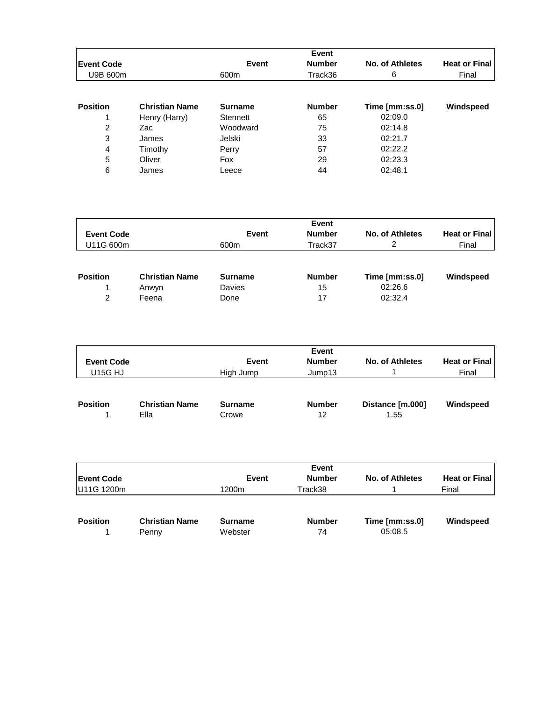|                   |                       |                | Event         |                 |                      |
|-------------------|-----------------------|----------------|---------------|-----------------|----------------------|
| <b>Event Code</b> |                       | Event          | <b>Number</b> | No. of Athletes | <b>Heat or Final</b> |
| U9B 600m          |                       | 600m           | Track36       | 6               | Final                |
|                   |                       |                |               |                 |                      |
| <b>Position</b>   | <b>Christian Name</b> | <b>Surname</b> | <b>Number</b> | Time [mm:ss.0]  | Windspeed            |
|                   | Henry (Harry)         | Stennett       | 65            | 02:09.0         |                      |
| 2                 | Zac                   | Woodward       | 75            | 02:14.8         |                      |
| 3                 | James                 | Jelski         | 33            | 02:21.7         |                      |
| 4                 | Timothy               | Perry          | 57            | 02:22.2         |                      |
| 5                 | Oliver                | Fox            | 29            | 02:23.3         |                      |
| 6                 | James                 | Leece          | 44            | 02:48.1         |                      |

|                   |                       | Event          |               |                 |                      |  |  |
|-------------------|-----------------------|----------------|---------------|-----------------|----------------------|--|--|
| <b>Event Code</b> |                       | <b>Event</b>   | <b>Number</b> | No. of Athletes | <b>Heat or Final</b> |  |  |
| U11G 600m         |                       | 600m           | Track37       | 2               | Final                |  |  |
| <b>Position</b>   | <b>Christian Name</b> | <b>Surname</b> | <b>Number</b> |                 | Windspeed            |  |  |
|                   |                       |                |               | Time [mm:ss.0]  |                      |  |  |
|                   | Anwyn                 | Davies         | 15            | 02:26.6         |                      |  |  |
| 2                 | Feena                 | Done           | 17            | 02:32.4         |                      |  |  |

| <b>Event Code</b><br><b>U15G HJ</b> |                               | <b>Event</b><br>High Jump | Event<br><b>Number</b><br>Jump13 | No. of Athletes          | <b>Heat or Final</b><br>Final |
|-------------------------------------|-------------------------------|---------------------------|----------------------------------|--------------------------|-------------------------------|
| <b>Position</b>                     | <b>Christian Name</b><br>Ella | <b>Surname</b><br>Crowe   | <b>Number</b><br>12              | Distance [m.000]<br>1.55 | Windspeed                     |

|                   |                                |                           | Event               |                           |                      |
|-------------------|--------------------------------|---------------------------|---------------------|---------------------------|----------------------|
| <b>Event Code</b> |                                | <b>Event</b>              | <b>Number</b>       | No. of Athletes           | <b>Heat or Final</b> |
| U11G 1200m        |                                | 1200m                     | Track38             |                           | Final                |
|                   |                                |                           |                     |                           |                      |
| <b>Position</b>   | <b>Christian Name</b><br>Penny | <b>Surname</b><br>Webster | <b>Number</b><br>74 | Time [mm:ss.0]<br>05:08.5 | Windspeed            |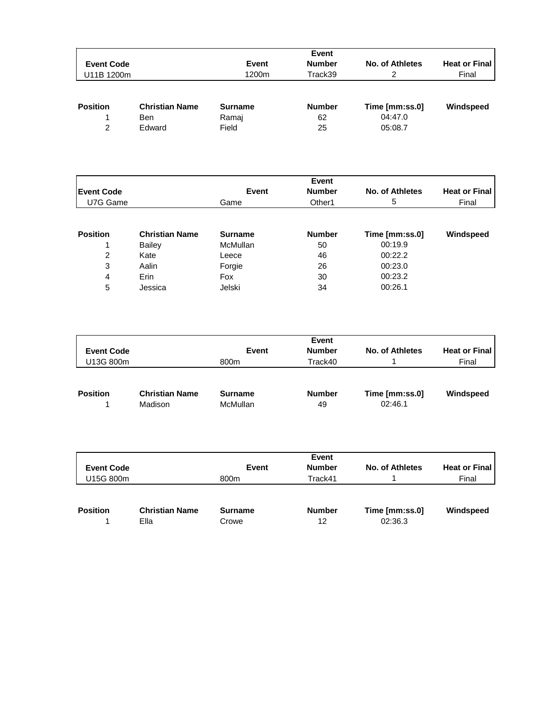|                   |                       |                | Event         |                 |                      |
|-------------------|-----------------------|----------------|---------------|-----------------|----------------------|
| <b>Event Code</b> |                       | Event          | <b>Number</b> | No. of Athletes | <b>Heat or Final</b> |
| U11B 1200m        |                       | 1200m          | Track39       | 2               | Final                |
| <b>Position</b>   | <b>Christian Name</b> | <b>Surname</b> | <b>Number</b> | Time [mm:ss.0]  | Windspeed            |
|                   | <b>Ben</b>            | Ramaj          | 62            | 04:47.0         |                      |
| $\mathcal{P}$     | Edward                | Field          | 25            | 05:08.7         |                      |

|                   |                       |                 | Event         |                 |                      |
|-------------------|-----------------------|-----------------|---------------|-----------------|----------------------|
| <b>Event Code</b> |                       | <b>Event</b>    | <b>Number</b> | No. of Athletes | <b>Heat or Final</b> |
| U7G Game          |                       | Game            | Other1        | 5               | Final                |
|                   |                       |                 |               |                 |                      |
| <b>Position</b>   | <b>Christian Name</b> | <b>Surname</b>  | <b>Number</b> | Time [mm:ss.0]  | Windspeed            |
|                   | <b>Bailey</b>         | <b>McMullan</b> | 50            | 00:19.9         |                      |
| 2                 | Kate                  | Leece           | 46            | 00:22.2         |                      |
| 3                 | Aalin                 | Forgie          | 26            | 00:23.0         |                      |
| 4                 | Erin                  | Fox             | 30            | 00:23.2         |                      |
| 5                 | Jessica               | Jelski          | 34            | 00:26.1         |                      |

| <b>Event Code</b><br>U13G 800m |                                  | Event<br>800m                     | Event<br><b>Number</b><br>Track40 | No. of Athletes           | <b>Heat or Final</b><br>Final |
|--------------------------------|----------------------------------|-----------------------------------|-----------------------------------|---------------------------|-------------------------------|
| <b>Position</b>                | <b>Christian Name</b><br>Madison | <b>Surname</b><br><b>McMullan</b> | <b>Number</b><br>49               | Time [mm:ss.0]<br>02:46.1 | Windspeed                     |

| <b>Event Code</b><br>U15G 800m |                               | Event<br>800m    | Event<br><b>Number</b><br>Track41 | No. of Athletes           | <b>Heat or Final</b><br>Final |
|--------------------------------|-------------------------------|------------------|-----------------------------------|---------------------------|-------------------------------|
| <b>Position</b>                | <b>Christian Name</b><br>Ella | Surname<br>Crowe | <b>Number</b><br>12               | Time [mm:ss.0]<br>02:36.3 | Windspeed                     |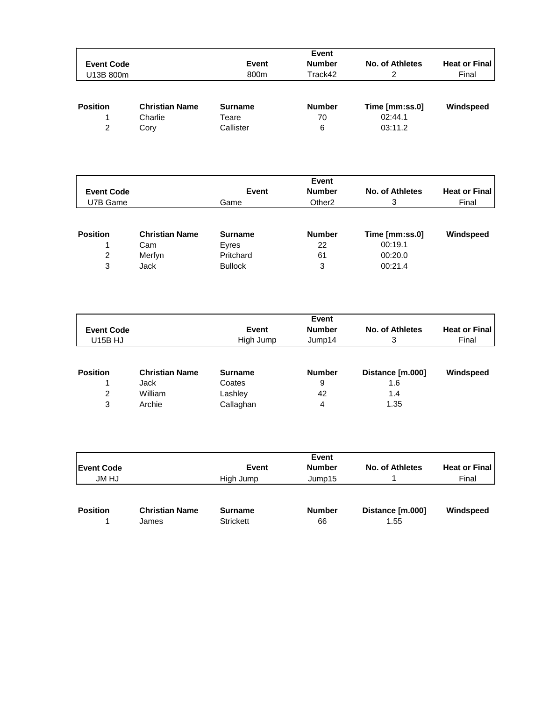|                   |                                  |                         | Event               |                           |                      |
|-------------------|----------------------------------|-------------------------|---------------------|---------------------------|----------------------|
| <b>Event Code</b> |                                  | Event                   | <b>Number</b>       | No. of Athletes           | <b>Heat or Final</b> |
| U13B 800m         |                                  | 800m                    | Track42             | 2                         | Final                |
| <b>Position</b>   | <b>Christian Name</b><br>Charlie | <b>Surname</b><br>Teare | <b>Number</b><br>70 | Time [mm:ss.0]<br>02:44.1 | Windspeed            |
| 2                 | Cory                             | Callister               | 6                   | 03:11.2                   |                      |

| <b>Event Code</b><br>U7B Game |                       | Event<br>Game  | <b>Event</b><br><b>Number</b><br>Other <sub>2</sub> | No. of Athletes<br>3 | <b>Heat or Final</b><br>Final |
|-------------------------------|-----------------------|----------------|-----------------------------------------------------|----------------------|-------------------------------|
| <b>Position</b>               | <b>Christian Name</b> | <b>Surname</b> | <b>Number</b>                                       | Time [mm:ss.0]       | Windspeed                     |
|                               | Cam                   | Eyres          | 22                                                  | 00:19.1              |                               |
| $\overline{2}$                | Merfyn                | Pritchard      | 61                                                  | 00:20.0              |                               |
| 3                             | Jack                  | <b>Bullock</b> | 3                                                   | 00:21.4              |                               |

| <b>Event Code</b><br><b>U15B HJ</b> |                       | Event<br>High Jump | Event<br><b>Number</b><br>Jump14 | No. of Athletes<br>3 | <b>Heat or Final</b><br>Final |
|-------------------------------------|-----------------------|--------------------|----------------------------------|----------------------|-------------------------------|
| <b>Position</b>                     | <b>Christian Name</b> | <b>Surname</b>     | <b>Number</b>                    | Distance [m.000]     | Windspeed                     |
|                                     | Jack                  | Coates             | 9                                | 1.6                  |                               |
| 2                                   | William               | Lashley            | 42                               | 1.4                  |                               |
| 3                                   | Archie                | Callaghan          | 4                                | 1.35                 |                               |

|                   |                       |                  | Event         |                  |                      |
|-------------------|-----------------------|------------------|---------------|------------------|----------------------|
| <b>Event Code</b> |                       | Event            | <b>Number</b> | No. of Athletes  | <b>Heat or Final</b> |
| <b>JM HJ</b>      |                       | High Jump        | Jump15        |                  | Final                |
| <b>Position</b>   | <b>Christian Name</b> | <b>Surname</b>   | <b>Number</b> | Distance [m.000] | Windspeed            |
|                   |                       |                  |               |                  |                      |
|                   | James                 | <b>Strickett</b> | 66            | 1.55             |                      |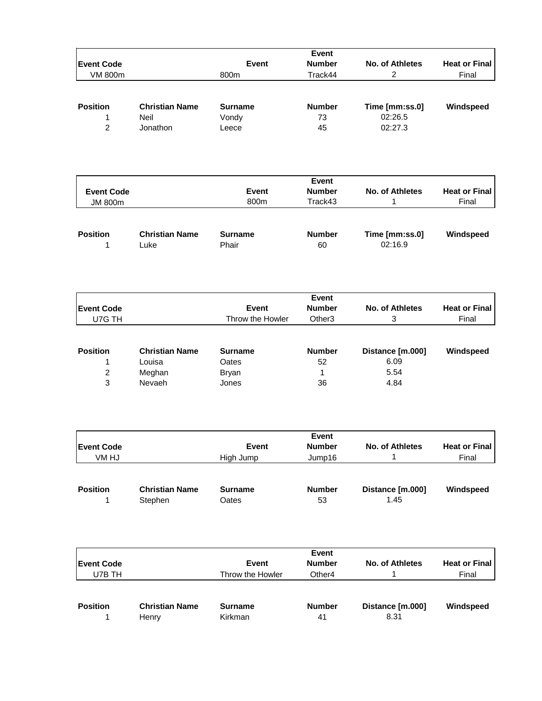|                   |                       |                  | Event              |                        |                      |
|-------------------|-----------------------|------------------|--------------------|------------------------|----------------------|
| <b>Event Code</b> |                       | Event            | <b>Number</b>      | No. of Athletes        | <b>Heat or Final</b> |
| <b>VM 800m</b>    |                       | 800m             | Track44            | $\overline{2}$         | Final                |
|                   |                       |                  |                    |                        |                      |
|                   |                       |                  |                    |                        |                      |
| <b>Position</b>   | <b>Christian Name</b> | <b>Surname</b>   | <b>Number</b>      | Time [mm:ss.0]         | Windspeed            |
| 1                 | Neil                  | Vondy            | 73                 | 02:26.5                |                      |
| $\overline{2}$    | Jonathon              | Leece            | 45                 | 02:27.3                |                      |
|                   |                       |                  |                    |                        |                      |
|                   |                       |                  |                    |                        |                      |
|                   |                       |                  |                    |                        |                      |
|                   |                       |                  |                    |                        |                      |
|                   |                       |                  | Event              |                        |                      |
| <b>Event Code</b> |                       | <b>Event</b>     | <b>Number</b>      | <b>No. of Athletes</b> | <b>Heat or Final</b> |
| <b>JM 800m</b>    |                       | 800m             | Track43            | 1                      | Final                |
|                   |                       |                  |                    |                        |                      |
|                   |                       |                  |                    |                        |                      |
| <b>Position</b>   | <b>Christian Name</b> | <b>Surname</b>   | <b>Number</b>      | Time [mm:ss.0]         | Windspeed            |
| 1                 | Luke                  | Phair            | 60                 | 02:16.9                |                      |
|                   |                       |                  |                    |                        |                      |
|                   |                       |                  |                    |                        |                      |
|                   |                       |                  |                    |                        |                      |
|                   |                       |                  |                    |                        |                      |
|                   |                       |                  | Event              |                        |                      |
| <b>Event Code</b> |                       | Event            | <b>Number</b>      | <b>No. of Athletes</b> | <b>Heat or Final</b> |
| U7G TH            |                       | Throw the Howler | Other <sub>3</sub> | 3                      | Final                |
|                   |                       |                  |                    |                        |                      |
|                   |                       |                  |                    |                        |                      |
| <b>Position</b>   | <b>Christian Name</b> | <b>Surname</b>   | <b>Number</b>      | Distance [m.000]       | Windspeed            |
| 1                 | Louisa                | Oates            | 52                 | 6.09                   |                      |
| $\overline{c}$    | Meghan                | <b>Bryan</b>     | 1                  | 5.54                   |                      |
| 3                 | Nevaeh                | Jones            | 36                 | 4.84                   |                      |
|                   |                       |                  |                    |                        |                      |
|                   |                       |                  |                    |                        |                      |
|                   |                       |                  |                    |                        |                      |
|                   |                       |                  | Event              |                        |                      |
| <b>Event Code</b> |                       | <b>Event</b>     | <b>Number</b>      | No. of Athletes        | <b>Heat or Final</b> |
| VM HJ             |                       | High Jump        | Jump16             | 1                      | Final                |
|                   |                       |                  |                    |                        |                      |
|                   |                       |                  |                    |                        |                      |
| <b>Position</b>   | <b>Christian Name</b> | <b>Surname</b>   | <b>Number</b>      | Distance [m.000]       | Windspeed            |
| 1                 | Stephen               | Oates            | 53                 | 1.45                   |                      |
|                   |                       |                  |                    |                        |                      |
|                   |                       |                  |                    |                        |                      |
|                   |                       |                  |                    |                        |                      |
|                   |                       |                  |                    |                        |                      |
|                   |                       |                  | Event              |                        |                      |
| <b>Event Code</b> |                       | <b>Event</b>     | <b>Number</b>      | No. of Athletes        | <b>Heat or Final</b> |
| U7B TH            |                       | Throw the Howler | Other4             | 1                      | Final                |
|                   |                       |                  |                    |                        |                      |
| <b>Position</b>   | <b>Christian Name</b> | <b>Surname</b>   | <b>Number</b>      |                        |                      |
|                   |                       |                  |                    | Distance [m.000]       | Windspeed            |
| 1                 | Henry                 | Kirkman          | 41                 | 8.31                   |                      |
|                   |                       |                  |                    |                        |                      |